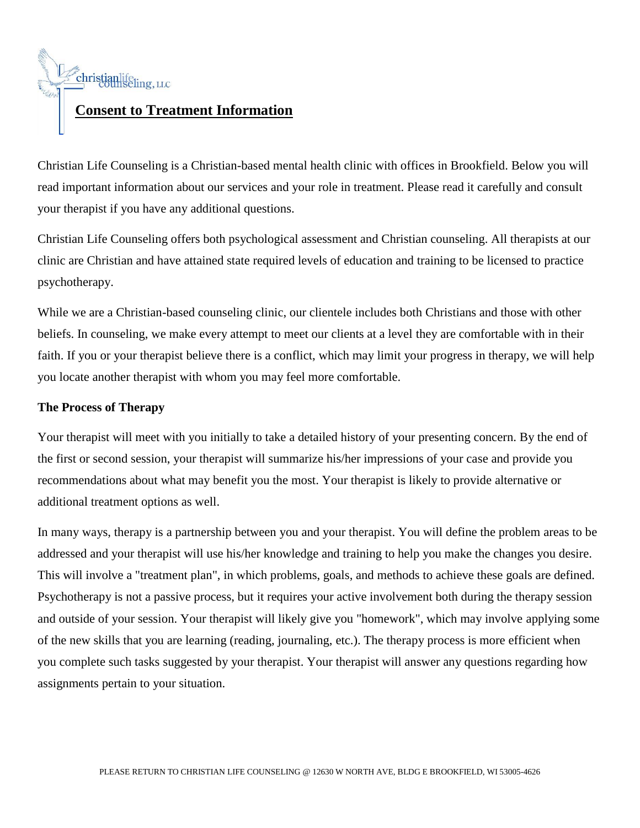

Christian Life Counseling is a Christian-based mental health clinic with offices in Brookfield. Below you will read important information about our services and your role in treatment. Please read it carefully and consult your therapist if you have any additional questions.

Christian Life Counseling offers both psychological assessment and Christian counseling. All therapists at our clinic are Christian and have attained state required levels of education and training to be licensed to practice psychotherapy.

While we are a Christian-based counseling clinic, our clientele includes both Christians and those with other beliefs. In counseling, we make every attempt to meet our clients at a level they are comfortable with in their faith. If you or your therapist believe there is a conflict, which may limit your progress in therapy, we will help you locate another therapist with whom you may feel more comfortable.

# **The Process of Therapy**

Your therapist will meet with you initially to take a detailed history of your presenting concern. By the end of the first or second session, your therapist will summarize his/her impressions of your case and provide you recommendations about what may benefit you the most. Your therapist is likely to provide alternative or additional treatment options as well.

In many ways, therapy is a partnership between you and your therapist. You will define the problem areas to be addressed and your therapist will use his/her knowledge and training to help you make the changes you desire. This will involve a "treatment plan", in which problems, goals, and methods to achieve these goals are defined. Psychotherapy is not a passive process, but it requires your active involvement both during the therapy session and outside of your session. Your therapist will likely give you "homework", which may involve applying some of the new skills that you are learning (reading, journaling, etc.). The therapy process is more efficient when you complete such tasks suggested by your therapist. Your therapist will answer any questions regarding how assignments pertain to your situation.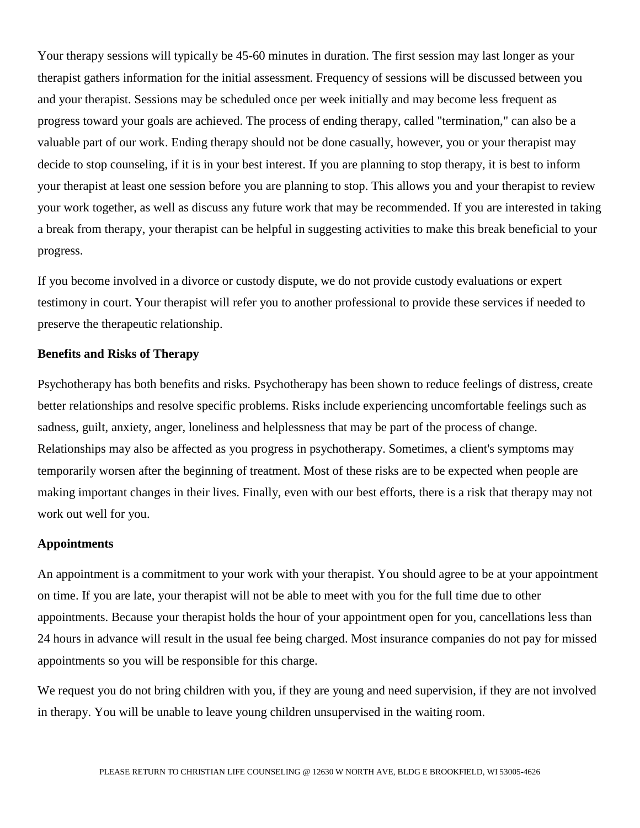Your therapy sessions will typically be 45-60 minutes in duration. The first session may last longer as your therapist gathers information for the initial assessment. Frequency of sessions will be discussed between you and your therapist. Sessions may be scheduled once per week initially and may become less frequent as progress toward your goals are achieved. The process of ending therapy, called "termination," can also be a valuable part of our work. Ending therapy should not be done casually, however, you or your therapist may decide to stop counseling, if it is in your best interest. If you are planning to stop therapy, it is best to inform your therapist at least one session before you are planning to stop. This allows you and your therapist to review your work together, as well as discuss any future work that may be recommended. If you are interested in taking a break from therapy, your therapist can be helpful in suggesting activities to make this break beneficial to your progress.

If you become involved in a divorce or custody dispute, we do not provide custody evaluations or expert testimony in court. Your therapist will refer you to another professional to provide these services if needed to preserve the therapeutic relationship.

#### **Benefits and Risks of Therapy**

Psychotherapy has both benefits and risks. Psychotherapy has been shown to reduce feelings of distress, create better relationships and resolve specific problems. Risks include experiencing uncomfortable feelings such as sadness, guilt, anxiety, anger, loneliness and helplessness that may be part of the process of change. Relationships may also be affected as you progress in psychotherapy. Sometimes, a client's symptoms may temporarily worsen after the beginning of treatment. Most of these risks are to be expected when people are making important changes in their lives. Finally, even with our best efforts, there is a risk that therapy may not work out well for you.

#### **Appointments**

An appointment is a commitment to your work with your therapist. You should agree to be at your appointment on time. If you are late, your therapist will not be able to meet with you for the full time due to other appointments. Because your therapist holds the hour of your appointment open for you, cancellations less than 24 hours in advance will result in the usual fee being charged. Most insurance companies do not pay for missed appointments so you will be responsible for this charge.

We request you do not bring children with you, if they are young and need supervision, if they are not involved in therapy. You will be unable to leave young children unsupervised in the waiting room.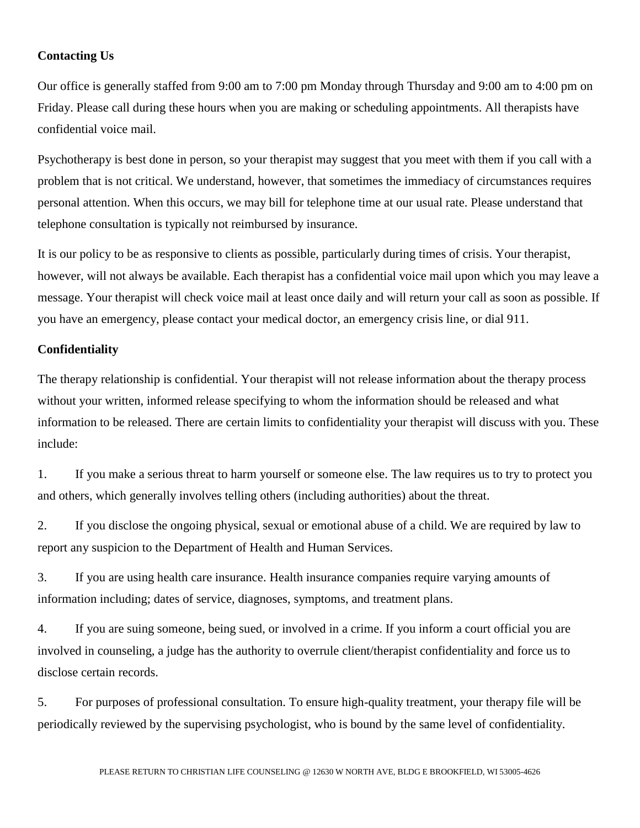# **Contacting Us**

Our office is generally staffed from 9:00 am to 7:00 pm Monday through Thursday and 9:00 am to 4:00 pm on Friday. Please call during these hours when you are making or scheduling appointments. All therapists have confidential voice mail.

Psychotherapy is best done in person, so your therapist may suggest that you meet with them if you call with a problem that is not critical. We understand, however, that sometimes the immediacy of circumstances requires personal attention. When this occurs, we may bill for telephone time at our usual rate. Please understand that telephone consultation is typically not reimbursed by insurance.

It is our policy to be as responsive to clients as possible, particularly during times of crisis. Your therapist, however, will not always be available. Each therapist has a confidential voice mail upon which you may leave a message. Your therapist will check voice mail at least once daily and will return your call as soon as possible. If you have an emergency, please contact your medical doctor, an emergency crisis line, or dial 911.

## **Confidentiality**

The therapy relationship is confidential. Your therapist will not release information about the therapy process without your written, informed release specifying to whom the information should be released and what information to be released. There are certain limits to confidentiality your therapist will discuss with you. These include:

1. If you make a serious threat to harm yourself or someone else. The law requires us to try to protect you and others, which generally involves telling others (including authorities) about the threat.

2. If you disclose the ongoing physical, sexual or emotional abuse of a child. We are required by law to report any suspicion to the Department of Health and Human Services.

3. If you are using health care insurance. Health insurance companies require varying amounts of information including; dates of service, diagnoses, symptoms, and treatment plans.

4. If you are suing someone, being sued, or involved in a crime. If you inform a court official you are involved in counseling, a judge has the authority to overrule client/therapist confidentiality and force us to disclose certain records.

5. For purposes of professional consultation. To ensure high-quality treatment, your therapy file will be periodically reviewed by the supervising psychologist, who is bound by the same level of confidentiality.